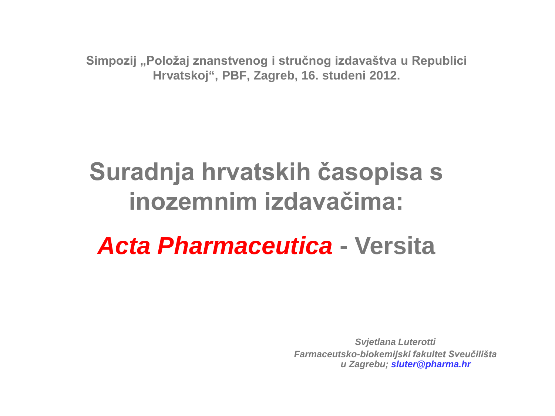**Simpozij "Položaj znanstvenog i stručnog izdavaštva u Republici Hrvatskoj", PBF, Zagreb, 16. studeni 2012.**

# **Suradnja hrvatskih časopisa s inozemnim izdavačima:**

# *Acta Pharmaceutica* **- Versita**

*Svjetlana Luterotti Farmaceutsko-biokemijski fakultet Sveučilišta u Zagrebu; sluter@pharma.hr*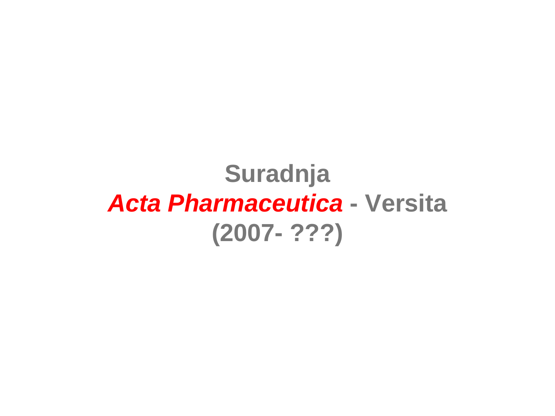# **Suradnja** *Acta Pharmaceutica* **- Versita (2007- ???)**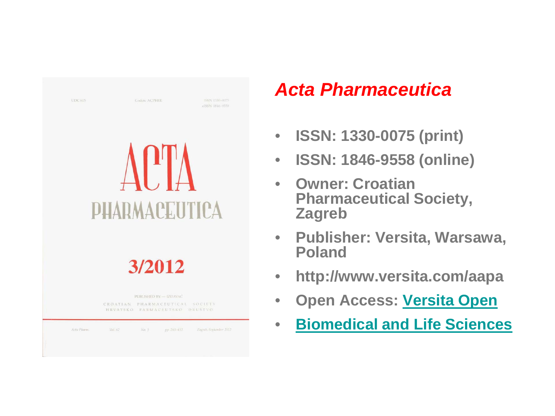| LIDC 615    |                      | <b>Coden: ACPHEE</b>                                                                       | ISSN 1330-0075<br>elSSN 1846-9558 |
|-------------|----------------------|--------------------------------------------------------------------------------------------|-----------------------------------|
|             | <b>PHARMACEUTICA</b> |                                                                                            |                                   |
|             |                      | 3/2012                                                                                     |                                   |
|             |                      | PUBLISHED BY - IZDAVAČ<br>CROATIAN PHARMACEUTICAL SOCIETY<br>HRVATSKO FARMACEUTSKO DRUŠTVO |                                   |
| Acta Pharm: | Vol. 62<br>No.3      | рр: 263-432.                                                                               | Zagreb, September 2012            |

## *Acta Pharmaceutica*

- **ISSN: 1330-0075 (print)**
- **ISSN: 1846-9558 (online)**
- **Owner: Croatian Pharmaceutical Society, Zagreb**
- **Publisher: Versita, Warsawa, Poland**
- **http://www.versita.com/aapa**
- **Open Access: [Versita Open](http://versitaopen.com/)**
- **[Biomedical and Life Sciences](http://versita.metapress.com/content/?Subject=Biomedical+and+Life+Sciences)**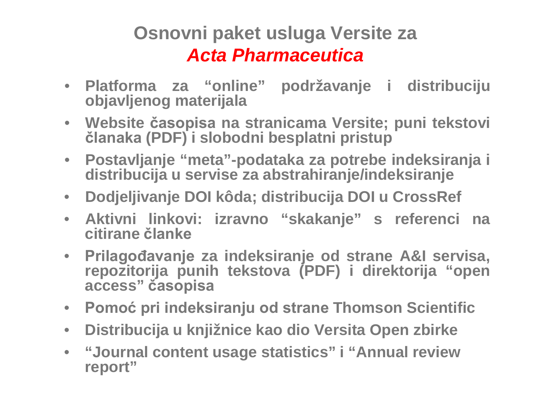### **Osnovni paket usluga Versite za** *Acta Pharmaceutica*

- **Platforma za "online" podržavanje i distribuciju objavljenog materijala**
- **Website časopisa na stranicama Versite; puni tekstovi članaka (PDF) i slobodni besplatni pristup**
- **Postavljanje "meta"-podataka za potrebe indeksiranja i distribucija u servise za abstrahiranje/indeksiranje**
- **Dodjeljivanje DOI kôda; distribucija DOI u CrossRef**
- **Aktivni linkovi: izravno "skakanje" s referenci na citirane članke**
- **Prilagođavanje za indeksiranje od strane A&I servisa, repozitorija punih tekstova (PDF) i direktorija "open access" časopisa**
- **Pomoć pri indeksiranju od strane Thomson Scientific**
- **Distribucija u knjižnice kao dio Versita Open zbirke**
- **"Journal content usage statistics" i "Annual review report"**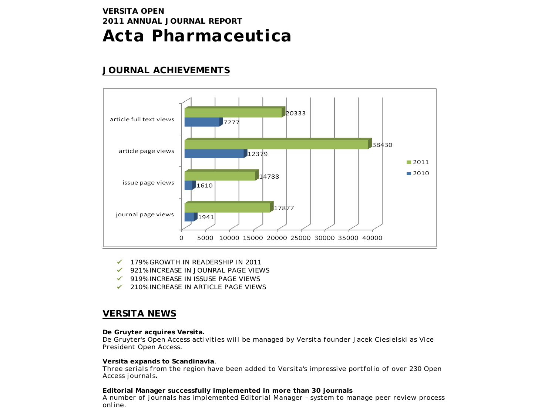#### **VERSITA OPEN 2011 ANNUAL JOURNAL REPORT** *Acta Pharmaceutica*

#### **JOURNAL ACHIEVEMENTS**



- 179% GROWTH IN READERSHIP IN 2011
- 921% INCREASE IN JOUNRAL PAGE VIEWS
- ◆ 919% INCREASE IN ISSUSE PAGE VIEWS
- $\checkmark$  210% INCREASE IN ARTICLE PAGE VIEWS

#### **VERSITA NEWS**

#### **De Gruyter acquires Versita.**

*De Gruyter's Open Access activities will be managed by Versita founder Jacek Ciesielski as Vice President Open Access.*

#### **Versita expands to Scandinavia***.*

*Three serials from the region have been added to Versita's impressive portfolio of over 230 Open Access journals***.**

**Editorial Manager successfully implemented in more than 30 journals** *A number of journals has implemented Editorial Manager – system to manage peer review process online.*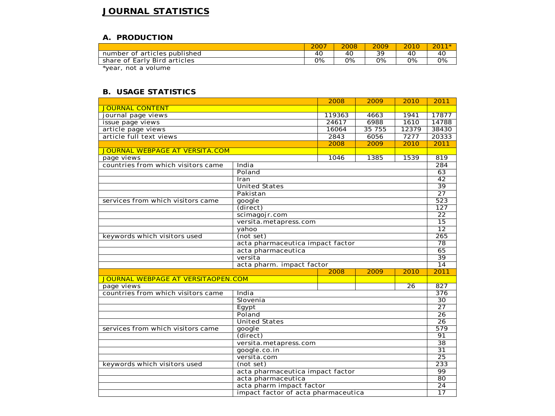#### **JOURNAL STATISTICS**

#### **A. PRODUCTION**

|                              | 2007 | 2008 | 2009 | 2010 | 201 |
|------------------------------|------|------|------|------|-----|
| number of articles published | 40   | 40   | 39   | 40   | 40  |
| share of Early Bird articles | 0%   | О%   | 0%   | 0%   | 0%  |
|                              |      |      |      |      |     |

\*year, not a volume

#### **B. USAGE STATISTICS**

|                                                    |                                  | 2008   | 2009   | 2010             | 2011                                 |
|----------------------------------------------------|----------------------------------|--------|--------|------------------|--------------------------------------|
| <b>JOURNAL CONTENT</b>                             |                                  |        |        |                  |                                      |
| journal page views                                 |                                  | 119363 | 4663   | 1941             | 17877                                |
| issue page views                                   |                                  | 24617  | 6988   | 1610             | 14788                                |
| article page views                                 |                                  |        | 35 755 | 12379            | 38430                                |
| article full text views                            |                                  | 2843   | 6056   | 7277             | 20333                                |
|                                                    |                                  | 2008   | 2009   | 2010             | 2011                                 |
| JOURNAL WEBPAGE AT VERSITA.COM                     |                                  |        |        |                  |                                      |
| page views                                         |                                  | 1046   | 1385   | 1539             | 819                                  |
| countries from which visitors came                 | India                            |        |        |                  | 284                                  |
|                                                    | Poland                           |        |        |                  | 63                                   |
|                                                    | Iran                             |        |        |                  | $\overline{42}$                      |
|                                                    | <b>United States</b>             |        |        |                  | $\overline{39}$                      |
|                                                    | Pakistan                         |        |        |                  | $\overline{27}$                      |
| services from which visitors came                  | google                           |        |        |                  | 523                                  |
| (direct)<br>scimagojr.com<br>versita.metapress.com |                                  |        |        | $\overline{127}$ |                                      |
|                                                    |                                  |        |        | $\overline{22}$  |                                      |
|                                                    |                                  |        |        | $\overline{15}$  |                                      |
| yahoo                                              |                                  |        |        |                  | $\overline{12}$                      |
| keywords which visitors used                       | (not set)                        |        |        |                  | 265                                  |
|                                                    | acta pharmaceutica impact factor |        |        | $\overline{78}$  |                                      |
|                                                    | acta pharmaceutica<br>versita    |        |        |                  | 65                                   |
|                                                    |                                  |        |        | $\overline{39}$  |                                      |
|                                                    | acta pharm. impact factor        |        |        |                  | 14                                   |
|                                                    |                                  | 2008   | 2009   | 2010             | 2011                                 |
| JOURNAL WEBPAGE AT VERSITAOPEN.COM                 |                                  |        |        |                  |                                      |
| page views                                         |                                  |        |        | $\overline{26}$  | $\overline{827}$<br>$\overline{376}$ |
| countries from which visitors came                 | India                            |        |        |                  |                                      |
|                                                    | Slovenia                         |        |        |                  | $\overline{30}$                      |
|                                                    | Eqypt                            |        |        |                  | $\overline{27}$                      |
|                                                    | Poland                           |        |        |                  | 26                                   |
|                                                    | <b>United States</b>             |        |        |                  | $\overline{26}$<br>579               |
| services from which visitors came                  | google                           |        |        |                  |                                      |
|                                                    | (direct)                         |        |        |                  | 91                                   |
|                                                    | versita.metapress.com            |        |        |                  | 38                                   |
| google.co.in                                       |                                  |        |        | $\overline{31}$  |                                      |
| versita.com                                        |                                  |        |        | 25               |                                      |
| keywords which visitors used                       | (not set)                        |        |        |                  | 233                                  |
|                                                    | acta pharmaceutica impact factor |        |        |                  | 99                                   |
|                                                    | acta pharmaceutica               |        |        |                  | 80                                   |
|                                                    | acta pharm impact factor         |        |        |                  | $\overline{24}$                      |
| impact factor of acta pharmaceutica                |                                  |        |        |                  | $\overline{17}$                      |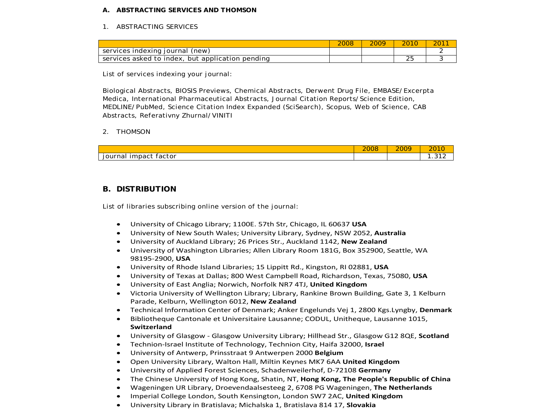#### **A. ABSTRACTING SERVICES AND THOMSON**

#### 1. ABSTRACTING SERVICES

|                                                  | 2009 | 2010 |  |
|--------------------------------------------------|------|------|--|
| services indexing journal (new)                  |      |      |  |
| services asked to index, but application pending |      | ∠⊾   |  |

List of services indexing your journal:

Biological Abstracts, BIOSIS Previews, Chemical Abstracts, Derwent Drug File, EMBASE/Excerpta Medica, International Pharmaceutical Abstracts, Journal Citation Reports/Science Edition, MEDLINE/PubMed, Science Citation Index Expanded (SciSearch), Scopus, Web of Science, CAB Abstracts, Referativny Zhurnal/VINITI

#### 2. THOMSON

|                                  | 0000<br>∠∪∪8 | 2009 | 201<br>$\sim$<br>ZU.<br>. .         |
|----------------------------------|--------------|------|-------------------------------------|
| -<br>iournal<br>impact<br>factor |              |      | $\sim$ $\sim$ $\sim$<br>- 12<br>. . |

#### **B. DISTRIBUTION**

List of libraries subscribing online version of the journal:

- University of Chicago Library; 1100E. 57th Str, Chicago, IL 60637 **USA**
- University of New South Wales; University Library, Sydney, NSW 2052, **Australia**
- University of Auckland Library; 26 Prices Str., Auckland 1142, **New Zealand**
- University of Washington Libraries; Allen Library Room 181G, Box 352900, Seattle, WA 98195-2900, **USA**
- University of Rhode Island Libraries; 15 Lippitt Rd., Kingston, RI 02881, **USA**
- University of Texas at Dallas; 800 West Campbell Road, Richardson, Texas, 75080, **USA**
- University of East Anglia; Norwich, Norfolk NR7 4TJ, **United Kingdom**
- Victoria University of Wellington Library; Library, Rankine Brown Building, Gate 3, 1 Kelburn Parade, Kelburn, Wellington 6012, **New Zealand**
- Technical Information Center of Denmark; Anker Engelunds Vej 1, 2800 Kgs.Lyngby, **Denmark**
- Bibliotheque Cantonale et Universitaire Lausanne; CODUL, Unitheque, Lausanne 1015, **Switzerland**
- University of Glasgow Glasgow University Library; Hillhead Str., Glasgow G12 8QE, **Scotland**
- Technion-Israel Institute of Technology, Technion City, Haifa 32000, **Israel**
- University of Antwerp, Prinsstraat 9 Antwerpen 2000 **Belgium**
- Open University Library, Walton Hall, Miltin Keynes MK7 6AA **United Kingdom**
- University of Applied Forest Sciences, Schadenweilerhof, D-72108 **Germany**
- The Chinese University of Hong Kong, Shatin, NT, **Hong Kong, The People's Republic of China**
- Wageningen UR Library, Droevendaalsesteeg 2, 6708 PG Wageningen, **The Netherlands**
- Imperial College London, South Kensington, London SW7 2AC, **United Kingdom**
- University Library in Bratislava; Michalska 1, Bratislava 814 17, **Slovakia**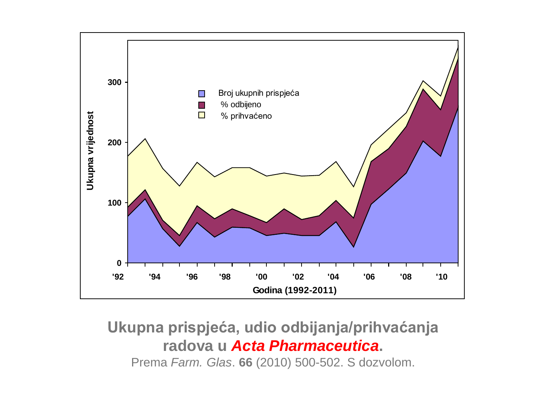

### **Ukupna prispjeća, udio odbijanja/prihvaćanja radova u** *Acta Pharmaceutica***.** Prema *Farm. Glas*. **66** (2010) 500-502. S dozvolom.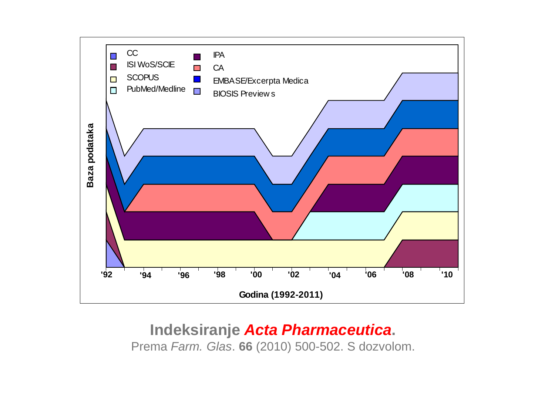

### **Indeksiranje** *Acta Pharmaceutica***.** Prema *Farm. Glas*. **66** (2010) 500-502. S dozvolom.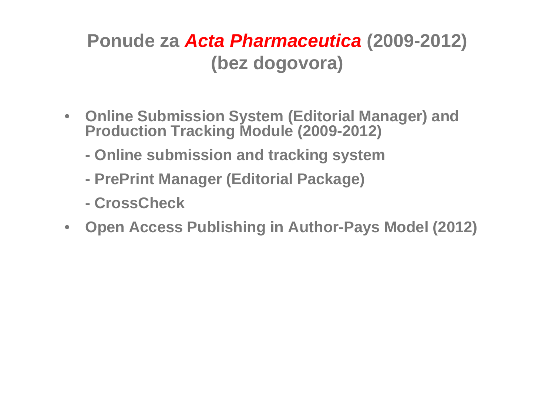### **Ponude za** *Acta Pharmaceutica* **(2009-2012) (bez dogovora)**

- **Online Submission System (Editorial Manager) and Production Tracking Module (2009-2012)**
	- **- Online submission and tracking system**
	- **- PrePrint Manager (Editorial Package)**
	- **- CrossCheck**
- **Open Access Publishing in Author-Pays Model (2012)**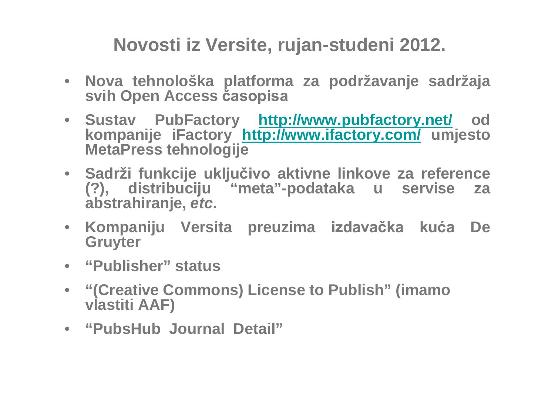**Novosti iz Versite, rujan-studeni 2012.**

- **Nova tehnološka platforma za podržavanje sadržaja svih Open Access časopisa**
- **Sustav PubFactory <http://www.pubfactory.net/> od kompanije iFactory <http://www.ifactory.com/> umjesto MetaPress tehnologije**
- **Sadrži funkcije uključivo aktivne linkove za reference (?), distribuciju "meta"-podataka u servise za abstrahiranje,** *etc***.**
- **Kompaniju Versita preuzima izdavačka kuća De Gruyter**
- **"Publisher" status**
- **"(Creative Commons) License to Publish" (imamo vlastiti AAF)**
- **"PubsHub Journal Detail"**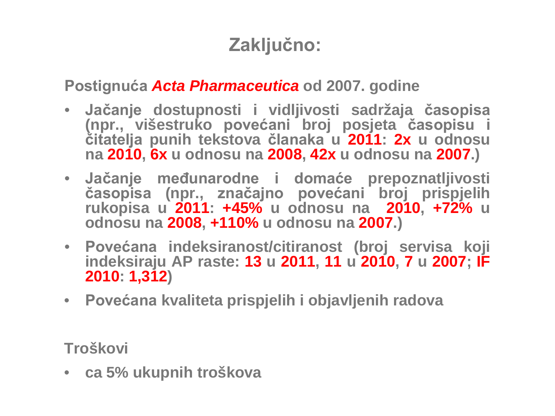## **Zaključno:**

**Postignuća** *Acta Pharmaceutica* **od 2007. godine**

- **Jačanje dostupnosti i vidljivosti sadržaja časopisa (npr., višestruko povećani broj posjeta časopisu i čitatelja punih tekstova članaka u 2011: 2x u odnosu na 2010, 6x u odnosu na 2008, 42x u odnosu na 2007.)**
- **Jačanje međunarodne i domaće prepoznatljivosti časopisa (npr., značajno povećani broj prispjelih rukopisa u 2011: +45% u odnosu na 2010, +72% u odnosu na 2008, +110% u odnosu na 2007.)**
- **Povećana indeksiranost/citiranost (broj servisa koji indeksiraju AP raste: 13 u 2011, 11 u 2010, 7 u 2007; IF 2010: 1,312)**
- **Povećana kvaliteta prispjelih i objavljenih radova**

**Troškovi**

• **ca 5% ukupnih troškova**